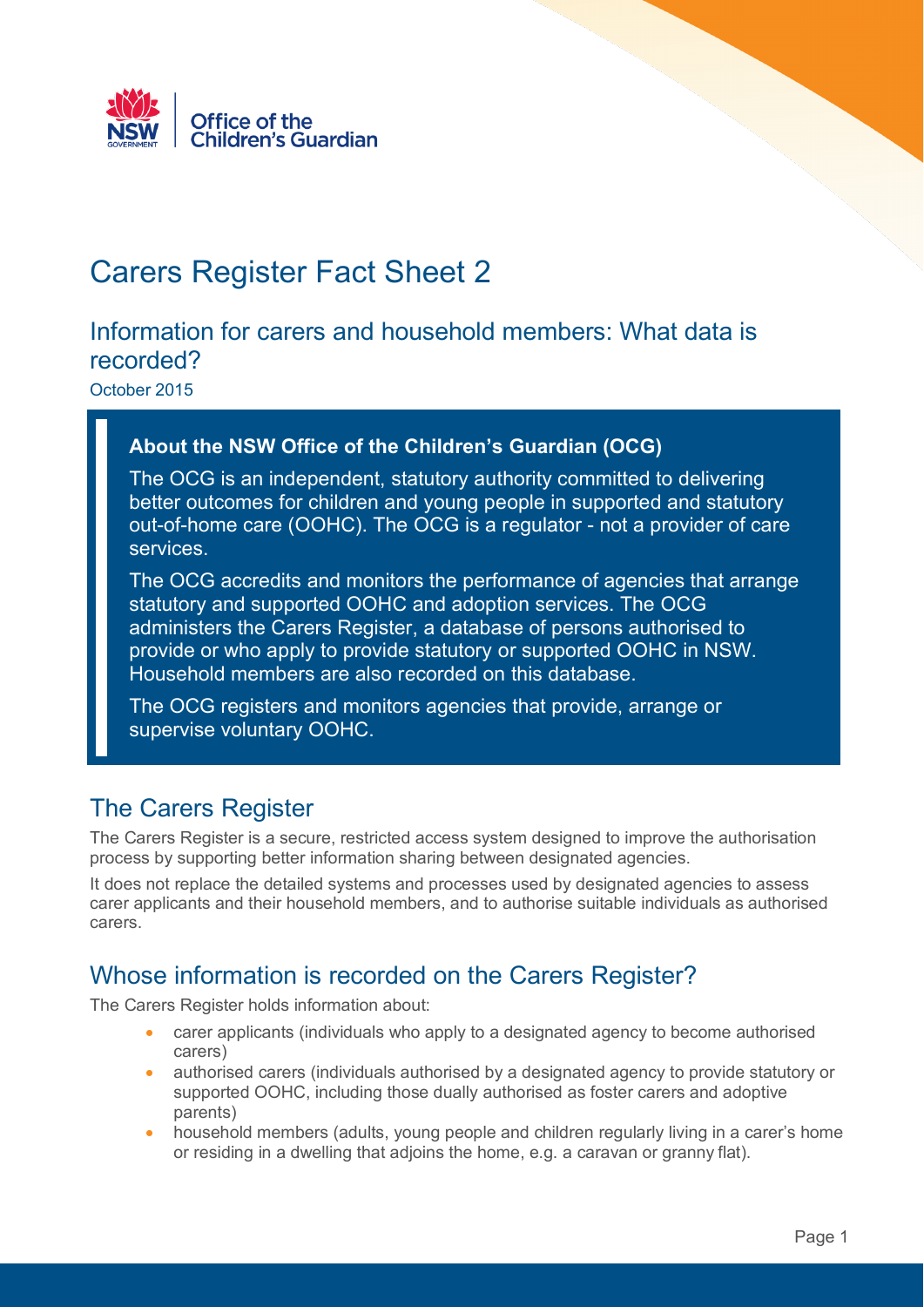

# Carers Register Fact Sheet 2

#### Information for carers and household members: What data is recorded?

October 2015

#### **About the NSW Office of the Children's Guardian (OCG)**

The OCG is an independent, statutory authority committed to delivering better outcomes for children and young people in supported and statutory out-of-home care (OOHC). The OCG is a regulator - not a provider of care services.

The OCG accredits and monitors the performance of agencies that arrange statutory and supported OOHC and adoption services. The OCG administers the Carers Register, a database of persons authorised to provide or who apply to provide statutory or supported OOHC in NSW. Household members are also recorded on this database.

The OCG registers and monitors agencies that provide, arrange or supervise voluntary OOHC.

#### The Carers Register

The Carers Register is a secure, restricted access system designed to improve the authorisation process by supporting better information sharing between designated agencies.

It does not replace the detailed systems and processes used by designated agencies to assess carer applicants and their household members, and to authorise suitable individuals as authorised carers.

#### Whose information is recorded on the Carers Register?

The Carers Register holds information about:

- carer applicants (individuals who apply to a designated agency to become authorised carers)
- authorised carers (individuals authorised by a designated agency to provide statutory or supported OOHC, including those dually authorised as foster carers and adoptive parents)
- household members (adults, young people and children regularly living in a carer's home or residing in a dwelling that adjoins the home, e.g. a caravan or granny flat).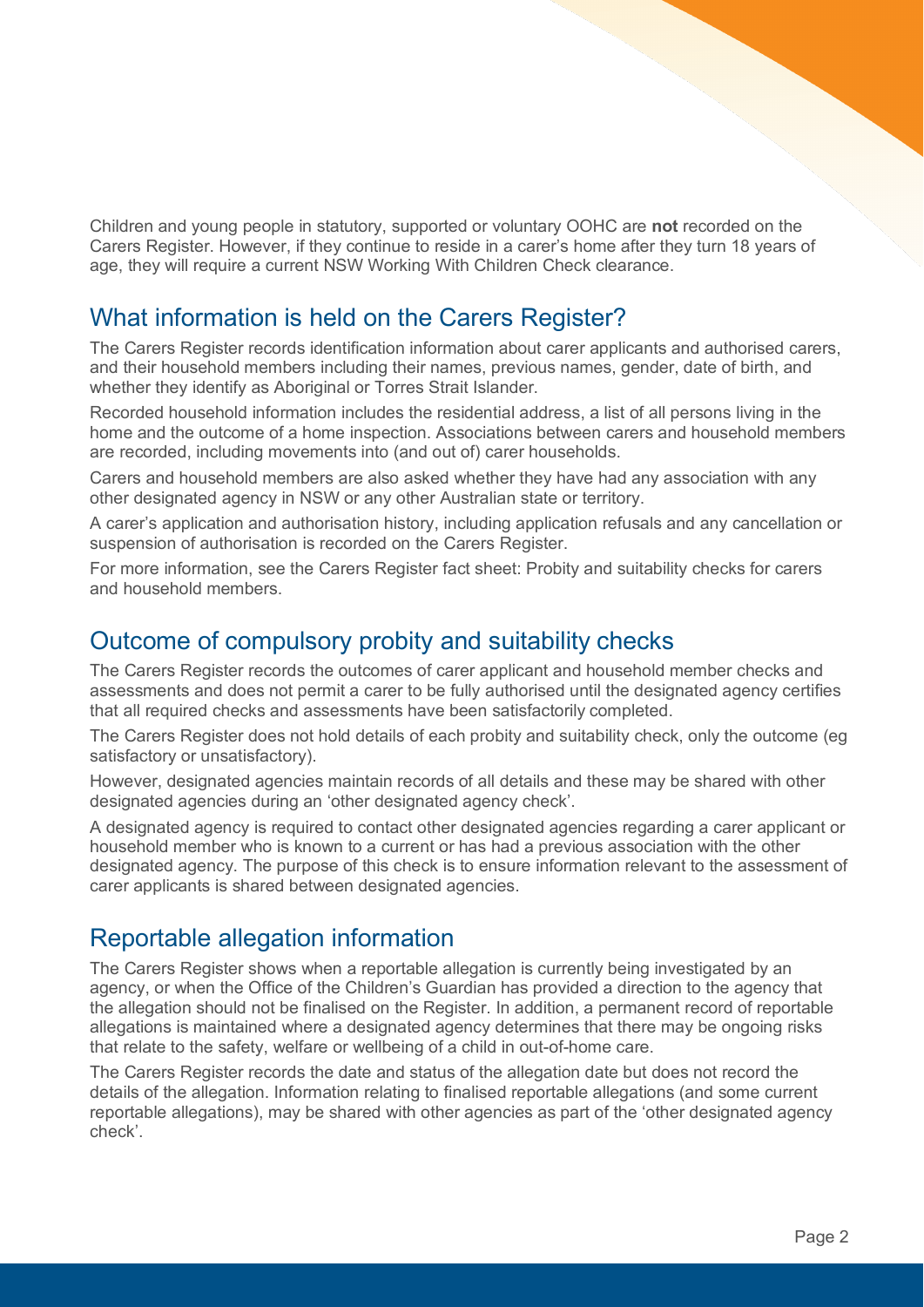Children and young people in statutory, supported or voluntary OOHC are **not** recorded on the Carers Register. However, if they continue to reside in a carer's home after they turn 18 years of age, they will require a current NSW Working With Children Check clearance.

### What information is held on the Carers Register?

The Carers Register records identification information about carer applicants and authorised carers, and their household members including their names, previous names, gender, date of birth, and whether they identify as Aboriginal or Torres Strait Islander.

Recorded household information includes the residential address, a list of all persons living in the home and the outcome of a home inspection. Associations between carers and household members are recorded, including movements into (and out of) carer households.

Carers and household members are also asked whether they have had any association with any other designated agency in NSW or any other Australian state or territory.

A carer's application and authorisation history, including application refusals and any cancellation or suspension of authorisation is recorded on the Carers Register.

For more information, see the Carers Register fact sheet: Probity and suitability checks for carers and household members.

### Outcome of compulsory probity and suitability checks

The Carers Register records the outcomes of carer applicant and household member checks and assessments and does not permit a carer to be fully authorised until the designated agency certifies that all required checks and assessments have been satisfactorily completed.

The Carers Register does not hold details of each probity and suitability check, only the outcome (eg satisfactory or unsatisfactory).

However, designated agencies maintain records of all details and these may be shared with other designated agencies during an 'other designated agency check'.

A designated agency is required to contact other designated agencies regarding a carer applicant or household member who is known to a current or has had a previous association with the other designated agency. The purpose of this check is to ensure information relevant to the assessment of carer applicants is shared between designated agencies.

#### Reportable allegation information

The Carers Register shows when a reportable allegation is currently being investigated by an agency, or when the Office of the Children's Guardian has provided a direction to the agency that the allegation should not be finalised on the Register. In addition, a permanent record of reportable allegations is maintained where a designated agency determines that there may be ongoing risks that relate to the safety, welfare or wellbeing of a child in out-of-home care.

The Carers Register records the date and status of the allegation date but does not record the details of the allegation. Information relating to finalised reportable allegations (and some current reportable allegations), may be shared with other agencies as part of the 'other designated agency check'.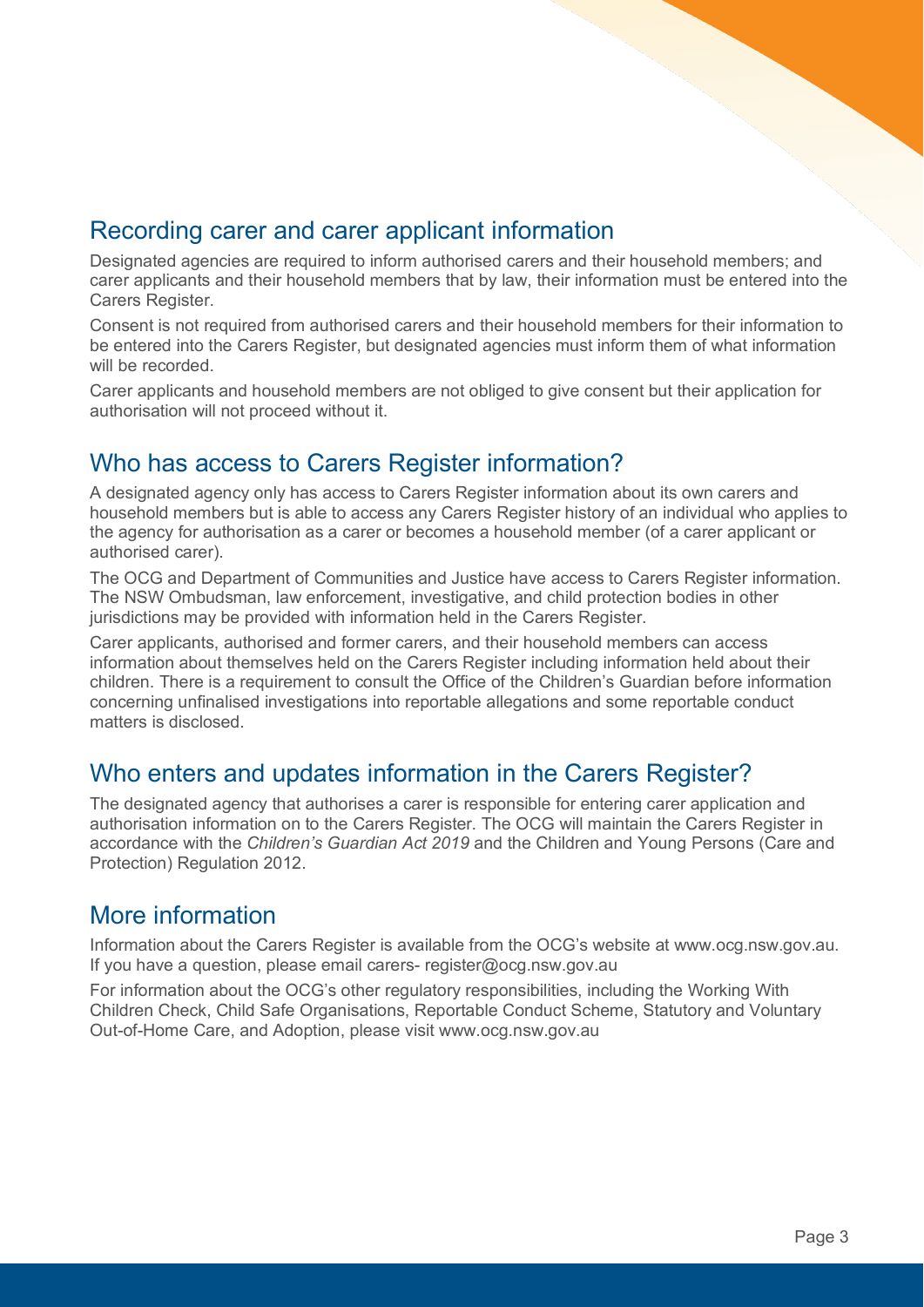## Recording carer and carer applicant information

Designated agencies are required to inform authorised carers and their household members; and carer applicants and their household members that by law, their information must be entered into the Carers Register.

Consent is not required from authorised carers and their household members for their information to be entered into the Carers Register, but designated agencies must inform them of what information will be recorded.

Carer applicants and household members are not obliged to give consent but their application for authorisation will not proceed without it.

#### Who has access to Carers Register information?

A designated agency only has access to Carers Register information about its own carers and household members but is able to access any Carers Register history of an individual who applies to the agency for authorisation as a carer or becomes a household member (of a carer applicant or authorised carer).

The OCG and Department of Communities and Justice have access to Carers Register information. The NSW Ombudsman, law enforcement, investigative, and child protection bodies in other jurisdictions may be provided with information held in the Carers Register.

Carer applicants, authorised and former carers, and their household members can access information about themselves held on the Carers Register including information held about their children. There is a requirement to consult the Office of the Children's Guardian before information concerning unfinalised investigations into reportable allegations and some reportable conduct matters is disclosed.

# Who enters and updates information in the Carers Register?

The designated agency that authorises a carer is responsible for entering carer application and authorisation information on to the Carers Register. The OCG will maintain the Carers Register in accordance with the *Children's Guardian Act 2019* and the Children and Young Persons (Care and Protection) Regulation 2012.

#### More information

Information about the Carers Register is available from the OCG's website at www.ocg.nsw.gov.au. If you have a question, please email carers- register@ocg.nsw.gov.au

For information about the OCG's other regulatory responsibilities, including the Working With Children Check, Child Safe Organisations, Reportable Conduct Scheme, Statutory and Voluntary Out-of-Home Care, and Adoption, please visit www.ocg.nsw.gov.au